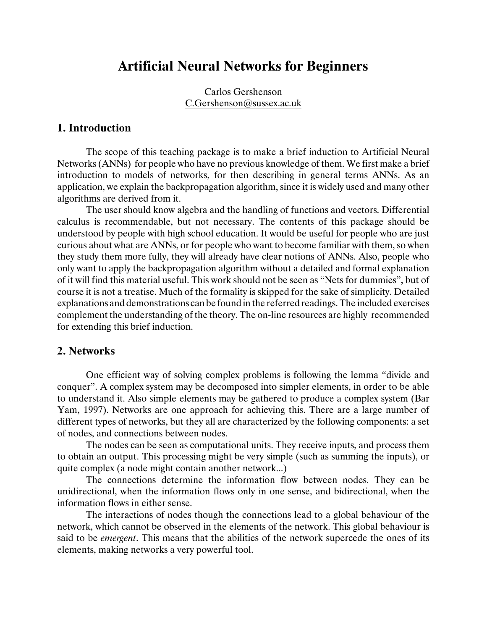# **Artificial Neural Networks for Beginners**

Carlos Gershenson [C.Gershenson@sussex.ac.uk](mailto:C.Gershenson@sussex.ac.uk)

### **1. Introduction**

The scope of this teaching package is to make a brief induction to Artificial Neural Networks (ANNs) for people who have no previous knowledge of them. We first make a brief introduction to models of networks, for then describing in general terms ANNs. As an application, we explain the backpropagation algorithm, since it is widely used and many other algorithms are derived from it.

The user should know algebra and the handling of functions and vectors. Differential calculus is recommendable, but not necessary. The contents of this package should be understood by people with high school education. It would be useful for people who are just curious about what are ANNs, or for people who want to become familiar with them, so when they study them more fully, they will already have clear notions of ANNs. Also, people who only want to apply the backpropagation algorithm without a detailed and formal explanation of it will find this material useful. This work should not be seen as "Nets for dummies", but of course it is not a treatise. Much of the formality is skipped for the sake of simplicity. Detailed explanations and demonstrations can be found in the referred readings. The included exercises complement the understanding of the theory. The on-line resources are highly recommended for extending this brief induction.

#### **2. Networks**

One efficient way of solving complex problems is following the lemma "divide and conquer". A complex system may be decomposed into simpler elements, in order to be able to understand it. Also simple elements may be gathered to produce a complex system (Bar Yam, 1997). Networks are one approach for achieving this. There are a large number of different types of networks, but they all are characterized by the following components: a set of nodes, and connections between nodes.

The nodes can be seen as computational units. They receive inputs, and process them to obtain an output. This processing might be very simple (such as summing the inputs), or quite complex (a node might contain another network...)

The connections determine the information flow between nodes. They can be unidirectional, when the information flows only in one sense, and bidirectional, when the information flows in either sense.

The interactions of nodes though the connections lead to a global behaviour of the network, which cannot be observed in the elements of the network. This global behaviour is said to be *emergent*. This means that the abilities of the network supercede the ones of its elements, making networks a very powerful tool.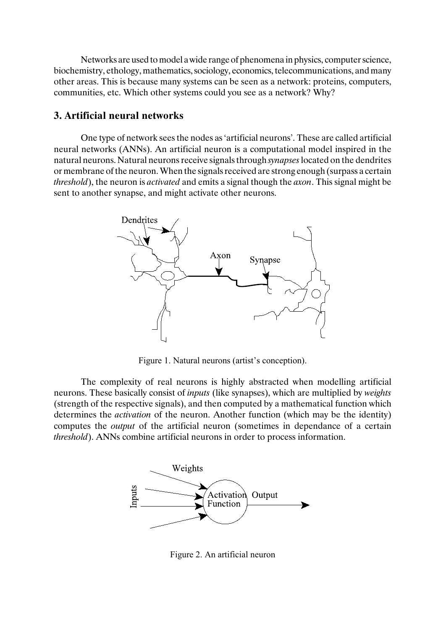Networks are used to model a wide range of phenomena in physics, computer science, biochemistry, ethology, mathematics, sociology, economics, telecommunications, and many other areas. This is because many systems can be seen as a network: proteins, computers, communities, etc. Which other systems could you see as a network? Why?

#### **3. Artificial neural networks**

One type of network sees the nodes as 'artificial neurons'. These are called artificial neural networks (ANNs). An artificial neuron is a computational model inspired in the natural neurons. Natural neuronsreceive signals through *synapses* located on the dendrites or membrane of the neuron. When the signals received are strong enough (surpass a certain *threshold*), the neuron is *activated* and emits a signal though the *axon*. This signal might be sent to another synapse, and might activate other neurons.



Figure 1. Natural neurons (artist's conception).

The complexity of real neurons is highly abstracted when modelling artificial neurons. These basically consist of *inputs* (like synapses), which are multiplied by *weights* (strength of the respective signals), and then computed by a mathematical function which determines the *activation* of the neuron. Another function (which may be the identity) computes the *output* of the artificial neuron (sometimes in dependance of a certain *threshold*). ANNs combine artificial neurons in order to process information.



Figure 2. An artificial neuron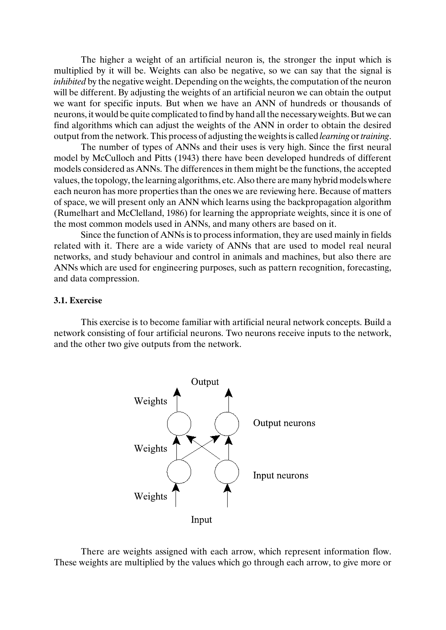The higher a weight of an artificial neuron is, the stronger the input which is multiplied by it will be. Weights can also be negative, so we can say that the signal is *inhibited* by the negative weight. Depending on the weights, the computation of the neuron will be different. By adjusting the weights of an artificial neuron we can obtain the output we want for specific inputs. But when we have an ANN of hundreds or thousands of neurons, it would be quite complicated to find by hand all the necessary weights. But we can find algorithms which can adjust the weights of the ANN in order to obtain the desired output from the network. This process of adjusting the weights is called *learning* or *training*.

The number of types of ANNs and their uses is very high. Since the first neural model by McCulloch and Pitts (1943) there have been developed hundreds of different models considered as ANNs. The differences in them might be the functions, the accepted values, the topology, the learning algorithms, etc. Also there are many hybrid models where each neuron has more properties than the ones we are reviewing here. Because of matters of space, we will present only an ANN which learns using the backpropagation algorithm (Rumelhart and McClelland, 1986) for learning the appropriate weights, since it is one of the most common models used in ANNs, and many others are based on it.

Since the function of ANNs is to processinformation, they are used mainly in fields related with it. There are a wide variety of ANNs that are used to model real neural networks, and study behaviour and control in animals and machines, but also there are ANNs which are used for engineering purposes, such as pattern recognition, forecasting, and data compression.

#### **3.1. Exercise**

This exercise is to become familiar with artificial neural network concepts. Build a network consisting of four artificial neurons. Two neurons receive inputs to the network, and the other two give outputs from the network.



There are weights assigned with each arrow, which represent information flow. These weights are multiplied by the values which go through each arrow, to give more or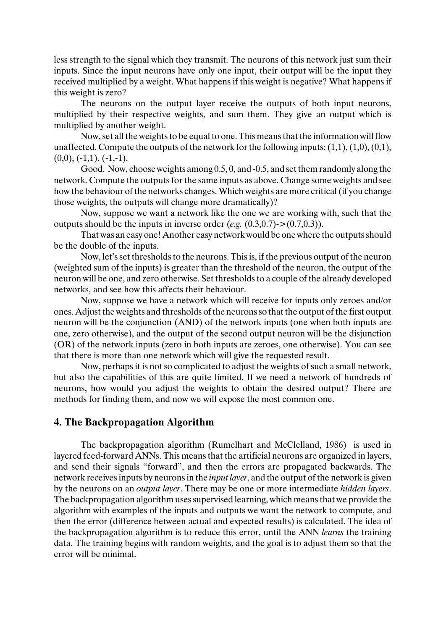less strength to the signal which they transmit. The neurons of this network just sum their inputs. Since the input neurons have only one input, their output will be the input they received multiplied by a weight. What happens if this weight is negative? What happens if this weight is zero?

The neurons on the output layer receive the outputs of both input neurons, multiplied by their respective weights, and sum them. They give an output which is multiplied by another weight.

Now, set all the weights to be equal to one. This means that the information will flow unaffected. Compute the outputs of the network for the following inputs:  $(1,1)$ ,  $(1,0)$ ,  $(0,1)$ ,  $(0,0), (-1,1), (-1,-1).$ 

Good. Now, choose weights among 0.5, 0, and -0.5, and set them randomly along the network. Compute the outputs for the same inputs as above. Change some weights and see how the behaviour of the networks changes.Which weights are more critical (if you change those weights, the outputs will change more dramatically)?

Now, suppose we want a network like the one we are working with, such that the outputs should be the inputs in inverse order  $(e.g. (0.3,0.7) > (0.7,0.3))$ .

That was an easy one! Another easy network would be one where the outputs should be the double of the inputs.

Now, let's set thresholds to the neurons. This is, if the previous output of the neuron (weighted sum of the inputs) is greater than the threshold of the neuron, the output of the neuron will be one, and zero otherwise. Set thresholds to a couple of the already developed networks, and see how this affects their behaviour.

Now, suppose we have a network which will receive for inputs only zeroes and/or ones. Adjust the weights and thresholds of the neuronsso that the output of the first output neuron will be the conjunction (AND) of the network inputs (one when both inputs are one, zero otherwise), and the output of the second output neuron will be the disjunction (OR) of the network inputs (zero in both inputs are zeroes, one otherwise). You can see that there is more than one network which will give the requested result.

Now, perhaps it is not so complicated to adjust the weights of such a small network, but also the capabilities of this are quite limited. If we need a network of hundreds of neurons, how would you adjust the weights to obtain the desired output? There are methods for finding them, and now we will expose the most common one.

### **4. The Backpropagation Algorithm**

The backpropagation algorithm (Rumelhart and McClelland, 1986) is used in layered feed-forward ANNs. This means that the artificial neurons are organized in layers, and send their signals "forward", and then the errors are propagated backwards. The network receives inputs by neurons in the *input layer*, and the output of the network is given by the neurons on an *output layer*. There may be one or more intermediate *hidden layers*. The backpropagation algorithm uses supervised learning, which means that we provide the algorithm with examples of the inputs and outputs we want the network to compute, and then the error (difference between actual and expected results) is calculated. The idea of the backpropagation algorithm is to reduce this error, until the ANN *learns* the training data. The training begins with random weights, and the goal is to adjust them so that the error will be minimal.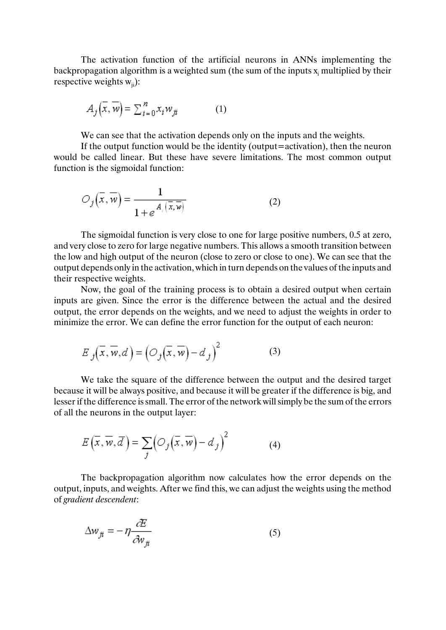The activation function of the artificial neurons in ANNs implementing the backpropagation algorithm is a weighted sum (the sum of the inputs  $\boldsymbol{\mathrm{x}}_{\text{i}}$  multiplied by their respective weights  $w_{ii}$ :

$$
A_j(\overline{x}, \overline{w}) = \sum_{i=0}^{n} x_i w_{ji}
$$
 (1)

We can see that the activation depends only on the inputs and the weights.

If the output function would be the identity (output=activation), then the neuron would be called linear. But these have severe limitations. The most common output function is the sigmoidal function:

$$
O_j(\overline{x}, \overline{w}) = \frac{1}{1 + e^{A_j(\overline{x}, \overline{w})}}
$$
(2)

The sigmoidal function is very close to one for large positive numbers, 0.5 at zero, and very close to zero for large negative numbers. This allows a smooth transition between the low and high output of the neuron (close to zero or close to one). We can see that the output depends only in the activation, which in turn depends on the values of the inputs and their respective weights.

Now, the goal of the training process is to obtain a desired output when certain inputs are given. Since the error is the difference between the actual and the desired output, the error depends on the weights, and we need to adjust the weights in order to minimize the error. We can define the error function for the output of each neuron:

$$
E_j(\overline{x}, \overline{w}, d) = (O_j(\overline{x}, \overline{w}) - d_j)^2
$$
 (3)

We take the square of the difference between the output and the desired target because it will be always positive, and because it will be greater if the difference is big, and lesser if the difference is small. The error of the network will simply be the sum of the errors of all the neurons in the output layer:

$$
E(\overline{x}, \overline{w}, \overline{d}) = \sum_{j} \left( \mathcal{O}_j(\overline{x}, \overline{w}) - d_j \right)^2 \tag{4}
$$

The backpropagation algorithm now calculates how the error depends on the output, inputs, and weights. After we find this, we can adjust the weights using the method of *gradient descendent*:

$$
\Delta w_{ji} = -\eta \frac{\partial E}{\partial w_{ji}} \tag{5}
$$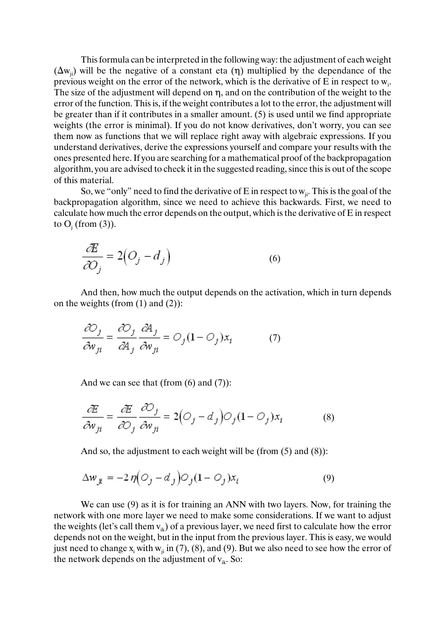This formula can be interpreted in the following way: the adjustment of each weight  $(\Delta w_{ii})$  will be the negative of a constant eta (n) multiplied by the dependance of the previous weight on the error of the network, which is the derivative of E in respect to  $w_i$ . The size of the adjustment will depend on  $\eta$ , and on the contribution of the weight to the error of the function. This is, if the weight contributes a lot to the error, the adjustment will be greater than if it contributes in a smaller amount. (5) is used until we find appropriate weights (the error is minimal). If you do not know derivatives, don't worry, you can see them now as functions that we will replace right away with algebraic expressions. If you understand derivatives, derive the expressions yourself and compare your results with the ones presented here. If you are searching for a mathematical proof of the backpropagation algorithm, you are advised to check it in the suggested reading, since this is out of the scope of this material.

So, we "only" need to find the derivative of E in respect to  $w_{ji}$ . This is the goal of the backpropagation algorithm, since we need to achieve this backwards. First, we need to calculate how much the error depends on the output, which isthe derivative of E in respect to  $O_j$  (from (3)).

$$
\frac{\partial E}{\partial O_j} = 2\left(O_j - d_j\right) \tag{6}
$$

And then, how much the output depends on the activation, which in turn depends on the weights (from  $(1)$  and  $(2)$ ):

$$
\frac{\partial O_j}{\partial w_{ji}} = \frac{\partial O_j}{\partial A_j} \frac{\partial A_j}{\partial w_{ji}} = O_j (1 - O_j) x_i \tag{7}
$$

And we can see that (from  $(6)$  and  $(7)$ ):

$$
\frac{\partial E}{\partial w_{ji}} = \frac{\partial E}{\partial Q_j} \frac{\partial Q_j}{\partial w_{ji}} = 2(Q_j - d_j)Q_j(1 - Q_j)x_i
$$
 (8)

And so, the adjustment to each weight will be (from (5) and (8)):

$$
\Delta w_{ji} = -2 \eta \Big( O_j - d_j \Big) O_j (1 - O_j) x_i \tag{9}
$$

We can use (9) as it is for training an ANN with two layers. Now, for training the network with one more layer we need to make some considerations. If we want to adjust the weights (let's call them  $v_{ik}$ ) of a previous layer, we need first to calculate how the error depends not on the weight, but in the input from the previous layer. This is easy, we would just need to change  $x_i$  with  $w_{ji}$  in (7), (8), and (9). But we also need to see how the error of the network depends on the adjustment of  $v_{ik}$ . So: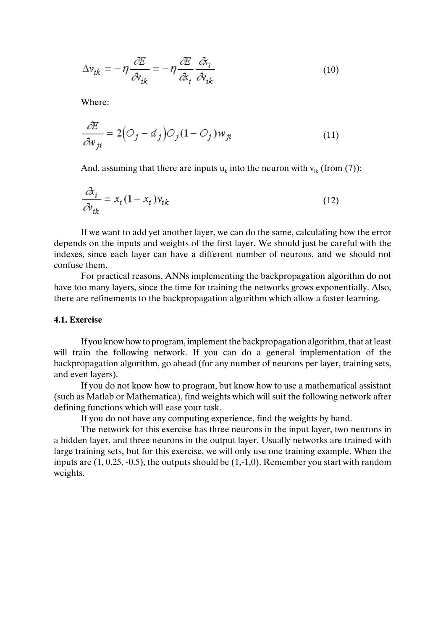$$
\Delta v_{ik} = -\eta \frac{\partial E}{\partial v_{ik}} = -\eta \frac{\partial E}{\partial x_i} \frac{\partial x_i}{\partial v_{ik}}
$$
(10)

Where:

$$
\frac{\partial E}{\partial w_{ji}} = 2\left(O_j - d_j\right)O_j(1 - O_j)w_{ji}
$$
\n(11)

And, assuming that there are inputs  $u_k$  into the neuron with  $v_{ik}$  (from (7)):

$$
\frac{\partial z_i}{\partial v_{ik}} = x_i (1 - x_i) v_{ik}
$$
\n(12)

If we want to add yet another layer, we can do the same, calculating how the error depends on the inputs and weights of the first layer. We should just be careful with the indexes, since each layer can have a different number of neurons, and we should not confuse them.

For practical reasons, ANNs implementing the backpropagation algorithm do not have too many layers, since the time for training the networks grows exponentially. Also, there are refinements to the backpropagation algorithm which allow a faster learning.

#### **4.1. Exercise**

If you know how to program, implement the backpropagation algorithm, that at least will train the following network. If you can do a general implementation of the backpropagation algorithm, go ahead (for any number of neurons per layer, training sets, and even layers).

If you do not know how to program, but know how to use a mathematical assistant (such as Matlab or Mathematica), find weights which will suit the following network after defining functions which will ease your task.

If you do not have any computing experience, find the weights by hand.

The network for this exercise has three neurons in the input layer, two neurons in a hidden layer, and three neurons in the output layer. Usually networks are trained with large training sets, but for this exercise, we will only use one training example. When the inputs are (1, 0.25, -0.5), the outputs should be (1,-1,0). Remember you start with random weights.